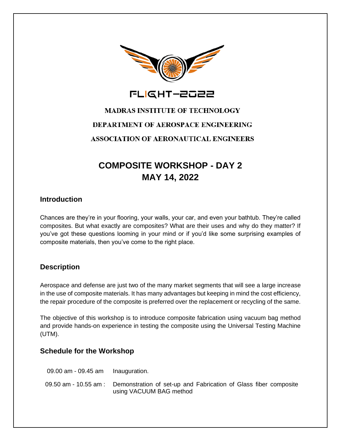

FLIGHT-2022

# **MADRAS INSTITUTE OF TECHNOLOGY** DEPARTMENT OF AEROSPACE ENGINEERING **ASSOCIATION OF AERONAUTICAL ENGINEERS**

## **COMPOSITE WORKSHOP - DAY 2 MAY 14, 2022**

#### **Introduction**

Chances are they're in your flooring, your walls, your car, and even your bathtub. They're called composites. But what exactly are composites? What are their uses and why do they matter? If you've got these questions looming in your mind or if you'd like some surprising examples of composite materials, then you've come to the right place.

#### **Description**

Aerospace and defense are just two of the many market segments that will see a large increase in the use of composite materials. It has many advantages but keeping in mind the cost efficiency, the repair procedure of the composite is preferred over the replacement or recycling of the same.

The objective of this workshop is to introduce composite fabrication using vacuum bag method and provide hands-on experience in testing the composite using the Universal Testing Machine (UTM).

#### **Schedule for the Workshop**

| 09.00 $am - 09.45 am$ Inauguration. |                                                                                                                   |
|-------------------------------------|-------------------------------------------------------------------------------------------------------------------|
|                                     | 09.50 am - 10.55 am : Demonstration of set-up and Fabrication of Glass fiber composite<br>using VACUUM BAG method |